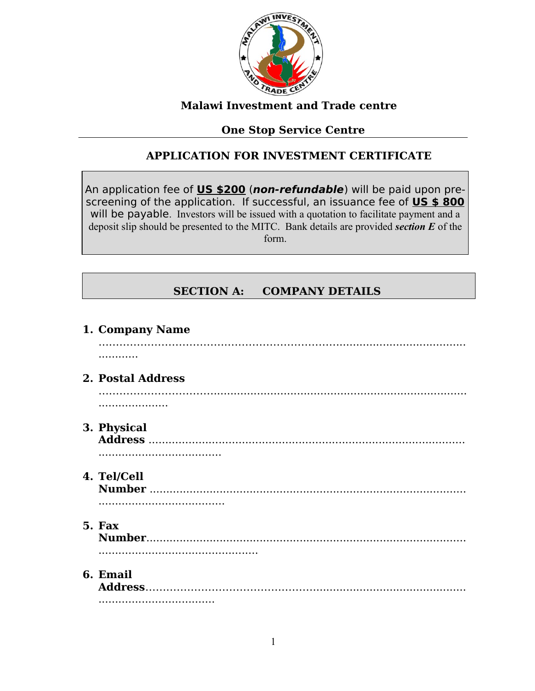

### **Malawi Investment and Trade centre**

# **One Stop Service Centre**

# **APPLICATION FOR INVESTMENT CERTIFICATE**

An application fee of **US \$200** (**non-refundable**) will be paid upon prescreening of the application. If successful, an issuance fee of **US \$ 800** will be payable. Investors will be issued with a quotation to facilitate payment and a deposit slip should be presented to the MITC. Bank details are provided *section E* of the form.

# **SECTION A: COMPANY DETAILS**

| 1. Company Name   |
|-------------------|
|                   |
| 2. Postal Address |
|                   |
| 3. Physical       |
|                   |
| 4. Tel/Cell       |
| 5. Fax            |
| 6. Email          |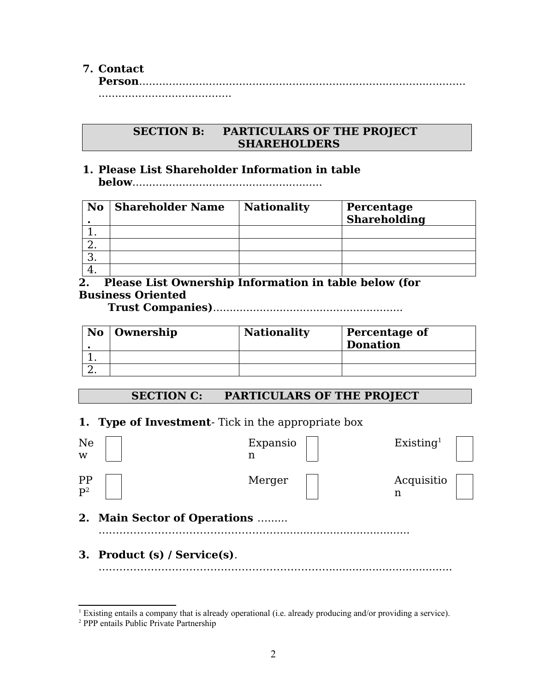### **7. Contact**

**Person**.................................................................................................. ........................................

#### **SECTION B: PARTICULARS OF THE PROJECT SHAREHOLDERS**

#### **1. Please List Shareholder Information in table below**.........................................................

| No. | <b>Shareholder Name</b> | <b>Nationality</b> | Percentage<br><b>Shareholding</b> |
|-----|-------------------------|--------------------|-----------------------------------|
|     |                         |                    |                                   |
|     |                         |                    |                                   |
|     |                         |                    |                                   |
|     |                         |                    |                                   |

**2. Please List Ownership Information in table below (for Business Oriented** 

 **Trust Companies)**.........................................................

| $\bf{No} \mid$ Ownership | <b>Nationality</b> | Percentage of<br><b>Donation</b> |
|--------------------------|--------------------|----------------------------------|
|                          |                    |                                  |
|                          |                    |                                  |

### **SECTION C: PARTICULARS OF THE PROJECT**

### **1. Type of Investment**- Tick in the appropriate box

| Ne<br>W          |                              | Expansio<br>n<br>n | Existing <sup>1</sup> |  |
|------------------|------------------------------|--------------------|-----------------------|--|
| $\frac{PP}{P^2}$ |                              | Merger             | Acquisitio<br>n       |  |
|                  | 2. Main Sector of Operations |                    |                       |  |
|                  | 3. Product (s) / Service(s). |                    |                       |  |

<span id="page-1-0"></span><sup>&</sup>lt;sup>1</sup> Existing entails a company that is already operational (i.e. already producing and/or providing a service).

<span id="page-1-1"></span><sup>2</sup> PPP entails Public Private Partnership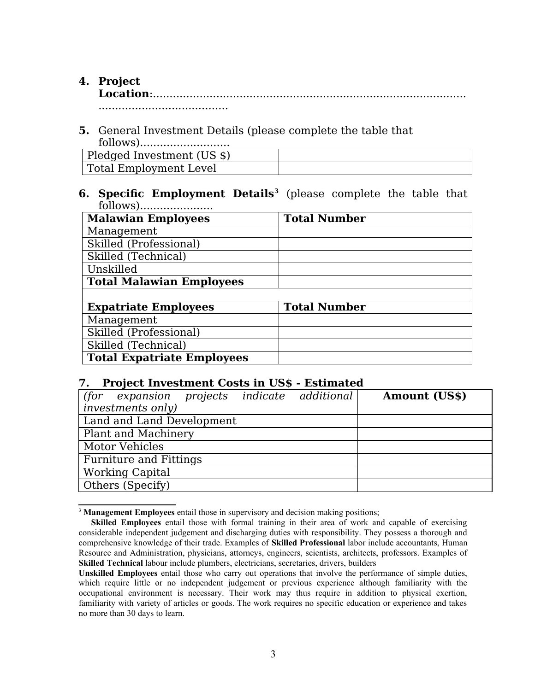# **4. Project**

**Location**:.............................................................................................. .......................................

**5.** General Investment Details (please complete the table that follows)...........................

| Pledged Investment (US \$) |  |
|----------------------------|--|
| Total Employment Level     |  |

#### **6. Specific Employment Details[3](#page-2-0)** (please complete the table that follows)......................

| <b>Malawian Employees</b>         | <b>Total Number</b> |
|-----------------------------------|---------------------|
| Management                        |                     |
| Skilled (Professional)            |                     |
| Skilled (Technical)               |                     |
| Unskilled                         |                     |
| <b>Total Malawian Employees</b>   |                     |
|                                   |                     |
| <b>Expatriate Employees</b>       | <b>Total Number</b> |
| Management                        |                     |
| Skilled (Professional)            |                     |
| Skilled (Technical)               |                     |
| <b>Total Expatriate Employees</b> |                     |

#### **7. Project Investment Costs in US\$ - Estimated**

| projects indicate additional<br>(for expansion | <b>Amount (US\$)</b> |
|------------------------------------------------|----------------------|
| <i>investments only)</i>                       |                      |
| Land and Land Development                      |                      |
| Plant and Machinery                            |                      |
| Motor Vehicles                                 |                      |
| <b>Furniture and Fittings</b>                  |                      |
| <b>Working Capital</b>                         |                      |
| Others (Specify)                               |                      |

<span id="page-2-0"></span><sup>&</sup>lt;sup>3</sup> Management Employees entail those in supervisory and decision making positions;

**Skilled Employees** entail those with formal training in their area of work and capable of exercising considerable independent judgement and discharging duties with responsibility. They possess a thorough and comprehensive knowledge of their trade. Examples of **Skilled Professional** labor include accountants, Human Resource and Administration, physicians, attorneys, engineers, scientists, architects, professors. Examples of **Skilled Technical** labour include plumbers, electricians, secretaries, drivers, builders

**Unskilled Employees** entail those who carry out operations that involve the performance of simple duties, which require little or no independent judgement or previous experience although familiarity with the occupational environment is necessary. Their work may thus require in addition to physical exertion, familiarity with variety of articles or goods. The work requires no specific education or experience and takes no more than 30 days to learn.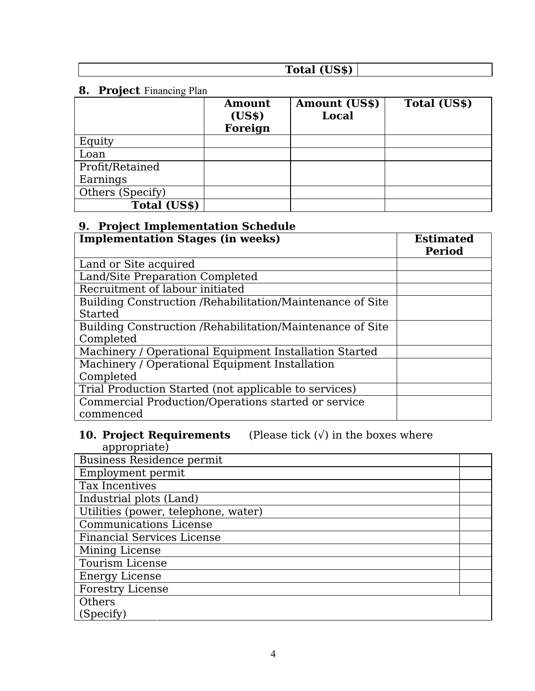| $\sim$ $\sim$ $\sim$<br>Total |  |
|-------------------------------|--|
|                               |  |

# **8. Project** Financing Plan

|                  | Amount<br>(US\$)<br>Foreign | <b>Amount (US\$)</b><br><b>Local</b> | Total (US\$) |
|------------------|-----------------------------|--------------------------------------|--------------|
| Equity           |                             |                                      |              |
| Loan             |                             |                                      |              |
| Profit/Retained  |                             |                                      |              |
| Earnings         |                             |                                      |              |
| Others (Specify) |                             |                                      |              |
| Total (US\$)     |                             |                                      |              |

# **9. Project Implementation Schedule**

| <b>Implementation Stages (in weeks)</b>                    | <b>Estimated</b><br><b>Period</b> |
|------------------------------------------------------------|-----------------------------------|
| Land or Site acquired                                      |                                   |
| Land/Site Preparation Completed                            |                                   |
| Recruitment of labour initiated                            |                                   |
| Building Construction / Rehabilitation/Maintenance of Site |                                   |
| <b>Started</b>                                             |                                   |
| Building Construction / Rehabilitation/Maintenance of Site |                                   |
| Completed                                                  |                                   |
| Machinery / Operational Equipment Installation Started     |                                   |
| Machinery / Operational Equipment Installation             |                                   |
| Completed                                                  |                                   |
| Trial Production Started (not applicable to services)      |                                   |
| Commercial Production/Operations started or service        |                                   |
| commenced                                                  |                                   |

#### **10. Project Requirements** (Please tick (√) in the boxes where appropriate)

| .<br><b>Business Residence permit</b> |  |
|---------------------------------------|--|
| Employment permit                     |  |
| Tax Incentives                        |  |
| Industrial plots (Land)               |  |
| Utilities (power, telephone, water)   |  |
| Communications License                |  |
| <b>Financial Services License</b>     |  |
| Mining License                        |  |
| <b>Tourism License</b>                |  |
| <b>Energy License</b>                 |  |
| <b>Forestry License</b>               |  |
| Others                                |  |
| (Specify)                             |  |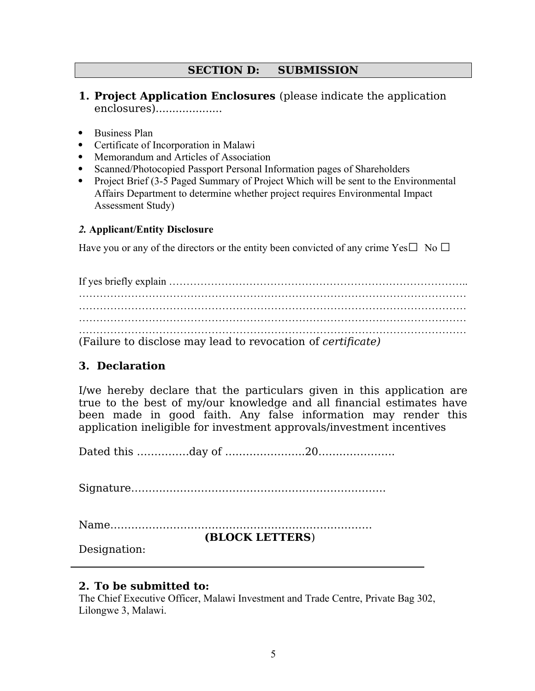### **SECTION D: SUBMISSION**

- **1. Project Application Enclosures** (please indicate the application enclosures)....................
- Business Plan
- Certificate of Incorporation in Malawi
- Memorandum and Articles of Association
- Scanned/Photocopied Passport Personal Information pages of Shareholders
- Project Brief (3-5 Paged Summary of Project Which will be sent to the Environmental Affairs Department to determine whether project requires Environmental Impact Assessment Study)

#### *2.* **Applicant/Entity Disclosure**

Have you or any of the directors or the entity been convicted of any crime Yes $\square$  No  $\square$ 

If yes briefly explain ………………………………………………………………………….. ………………………………………………………………………………………………… ………………………………………………………………………………………………… ………………………………………………………………………………………………… ………………………………………………………………………………………………… (Failure to disclose may lead to revocation of *certificate)*

# **3. Declaration**

I/we hereby declare that the particulars given in this application are true to the best of my/our knowledge and all financial estimates have been made in good faith. Any false information may render this application ineligible for investment approvals/investment incentives

Dated this ……………day of …………………..20………………….

Signature……………………………………………………………….

Name…………………………………………………………………

**(BLOCK LETTERS**)

Designation:

### **2. To be submitted to:**

The Chief Executive Officer, Malawi Investment and Trade Centre, Private Bag 302, Lilongwe 3, Malawi.